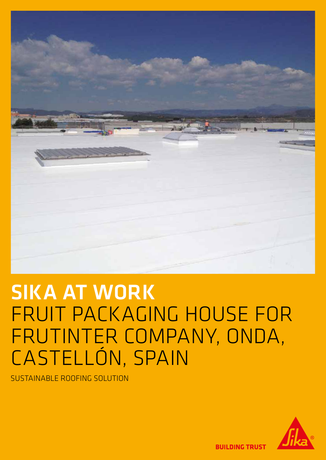

# SIKA AT WORK FRUIT PACKAGING HOUSE FOR FRUTINTER COMPANY, ONDA, CASTELLÓN, SPAIN

SUSTAINABLE ROOFING SOLUTION



**BUILDING TRUST**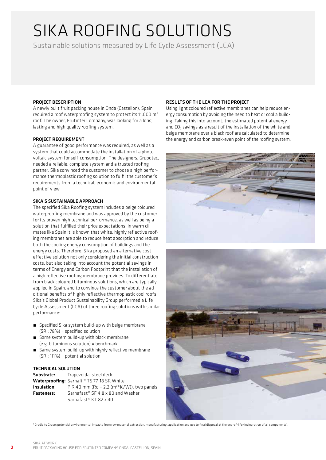## SIKA ROOFING SOLUTIONS

Sustainable solutions measured by Life Cycle Assessment (LCA)

#### PROJECT DESCRIPTION

A newly built fruit packing house in Onda (Castellón), Spain, required a roof waterproofing system to protect its 11,000 m² roof. The owner, Frutinter Company, was looking for a long lasting and high quality roofing system.

#### PROJECT REQUIREMENT

A guarantee of good performance was required, as well as a system that could accommodate the installation of a photovoltaic system for self-consumption. The designers, Grupotec, needed a reliable, complete system and a trusted roofing partner. Sika convinced the customer to choose a high performance thermoplastic roofing solution to fulfil the customer's requirements from a technical, economic and environmental point of view.

#### SIKA'S SUSTAINABLE APPROACH

The specified Sika Roofing system includes a beige coloured waterproofing membrane and was approved by the customer for its proven high technical performance, as well as being a solution that fulfilled their price expectations. In warm climates like Spain it is known that white, highly reflective roofing membranes are able to reduce heat absorption and reduce both the cooling energy consumption of buildings and the energy costs. Therefore, Sika proposed an alternative costeffective solution not only considering the initial construction costs, but also taking into account the potential savings in terms of Energy and Carbon Footprint that the installation of a high reflective roofing membrane provides. To differentiate from black coloured bituminous solutions, which are typically applied in Spain, and to convince the customer about the additional benefits of highly reflective thermoplastic cool roofs, Sika's Global Product Sustainability Group performed a Life Cycle Assessment (LCA) of three roofing solutions with similar performance:

- Specified Sika system build-up with beige membrane (SRI: 78%) = specified solution
- **E** Same system build-up with black membrane (e.g. bituminous solution) = benchmark
- Same system build-up with highly reflective membrane (SRI: 111%) = potential solution

#### TECHNICAL SOLUTION

| Substrate:        | Trapezoidal steel deck                                        |
|-------------------|---------------------------------------------------------------|
|                   | <b>Waterproofing:</b> Sarnafil <sup>®</sup> TS 77-18 SR White |
| Insulation:       | PIR 40 mm (Rd = 2.2 (m <sup>2*</sup> K/W)), two panels        |
| <b>Fasteners:</b> | Sarnafast <sup>®</sup> SF 4.8 x 80 and Washer                 |
|                   | Sarnafast <sup>®</sup> KT 82 x 40                             |

#### RESULTS OF THE LCA FOR THE PROJECT

Using light coloured reflective membranes can help reduce energy consumption by avoiding the need to heat or cool a building. Taking this into account, the estimated potential energy and  $CO<sub>2</sub>$  savings as a result of the installation of the white and beige membrane over a black roof are calculated to determine the energy and carbon break-even point of the roofing system.





1 Cradle to Grave: potential environmental impacts from raw material extraction, manufacturing, application and use to final disposal at the end-of-life (incineration of all components).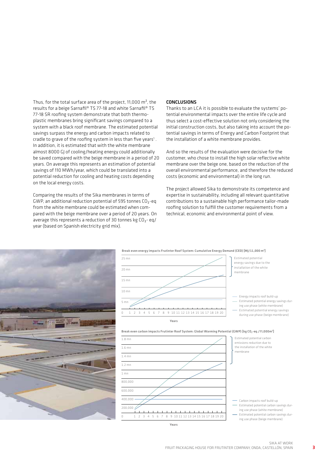Thus, for the total surface area of the project, 11,000 m<sup>2</sup>, the results for a beige Sarnafil® TS 77-18 and white Sarnafil® TS 77-18 SR roofing system demonstrate that both thermoplastic membranes bring significant savings compared to a system with a black roof membrane. The estimated potential savings surpass the energy and carbon impacts related to cradle to grave of the roofing system in less than five years $<sup>1</sup>$ .</sup> In addition, it is estimated that with the white membrane almost 8000 GJ of cooling/heating energy could additionally be saved compared with the beige membrane in a period of 20 years. On average this represents an estimation of potential savings of 110 MWh/year, which could be translated into a potential reduction for cooling and heating costs depending on the local energy costs.

Comparing the results of the Sika membranes in terms of GWP, an additional reduction potential of 595 tonnes  $CO_2$ -eq from the white membrane could be estimated when compared with the beige membrane over a period of 20 years. On average this represents a reduction of 30 tonnes kg  $CO_2$ - eq/ year (based on Spanish electricity grid mix).

#### CONCLUSIONS

Thanks to an LCA it is possible to evaluate the systems' potential environmental impacts over the entire life cycle and thus select a cost-effective solution not only considering the initial construction costs, but also taking into account the potential savings in terms of Energy and Carbon Footprint that the installation of a white membrane provides.

And so the results of the evaluation were decisive for the customer, who chose to install the high solar reflective white membrane over the beige one, based on the reduction of the overall environmental performance, and therefore the reduced costs (economic and environmental) in the long run.

The project allowed Sika to demonstrate its competence and expertise in sustainability, including all relevant quantitative contributions to a sustainable high performance tailor-made roofing solution to fulfill the customer requirements from a technical, economic and environmental point of view.







Break even carbon impacts Frutinter Roof System: Global Warming Potential (GWP) [kg CO $_2$ -eq./11,000m<sup>2</sup>]

Estimated potential carbon savings dur-

Years

Estimated potential carbon savings dur-